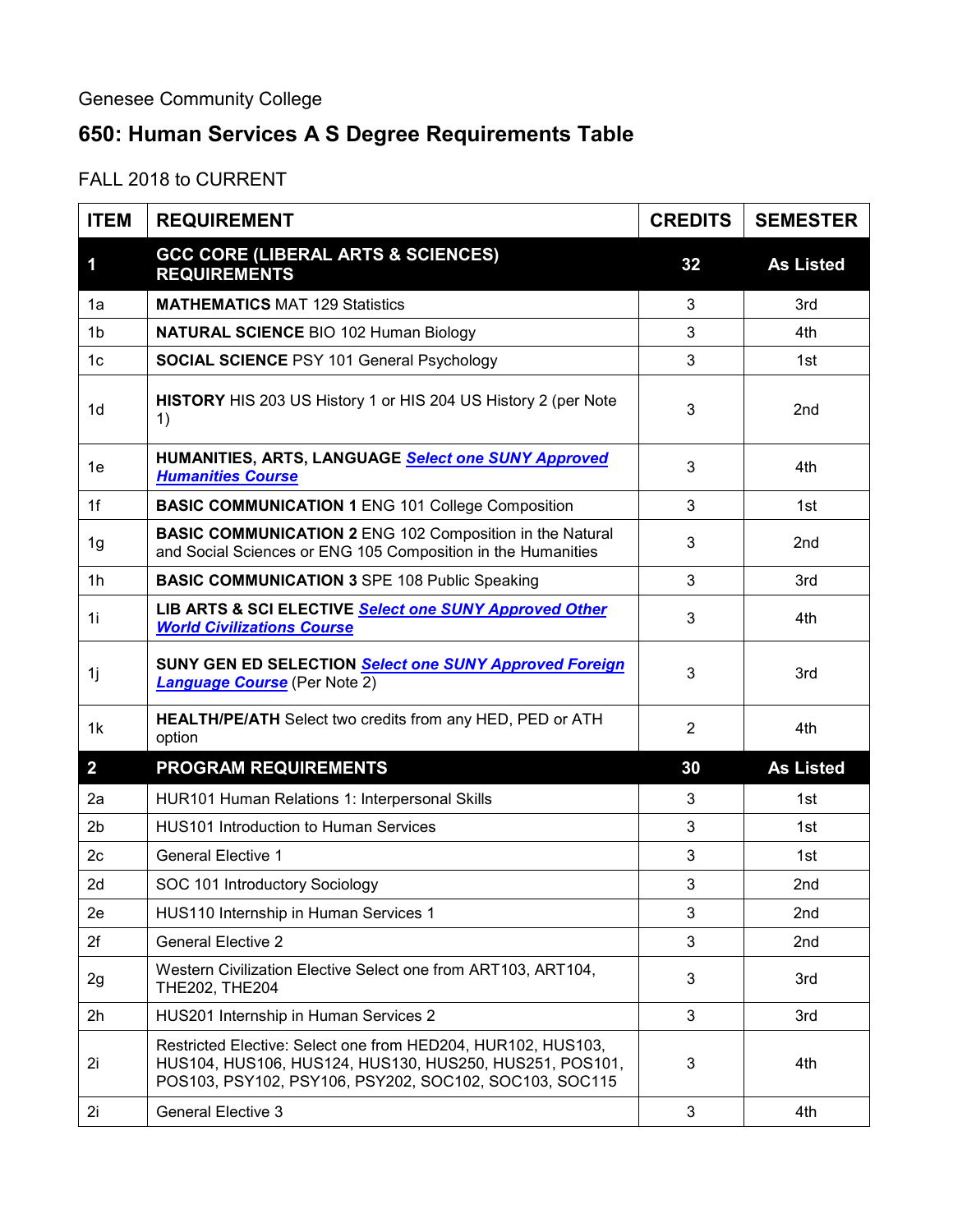## **650: Human Services A S Degree Requirements Table**

FALL 2018 to CURRENT

| <b>ITEM</b>             | <b>REQUIREMENT</b>                                                                                                                                                                | <b>CREDITS</b> | <b>SEMESTER</b>  |
|-------------------------|-----------------------------------------------------------------------------------------------------------------------------------------------------------------------------------|----------------|------------------|
| $\overline{\mathbf{1}}$ | <b>GCC CORE (LIBERAL ARTS &amp; SCIENCES)</b><br><b>REQUIREMENTS</b>                                                                                                              | 32             | <b>As Listed</b> |
| 1a                      | <b>MATHEMATICS MAT 129 Statistics</b>                                                                                                                                             | 3              | 3rd              |
| 1 <sub>b</sub>          | <b>NATURAL SCIENCE BIO 102 Human Biology</b>                                                                                                                                      | 3              | 4th              |
| 1 <sub>c</sub>          | <b>SOCIAL SCIENCE PSY 101 General Psychology</b>                                                                                                                                  | 3              | 1st              |
| 1 <sub>d</sub>          | HISTORY HIS 203 US History 1 or HIS 204 US History 2 (per Note<br>1)                                                                                                              | 3              | 2 <sub>nd</sub>  |
| 1e                      | HUMANITIES, ARTS, LANGUAGE Select one SUNY Approved<br><b>Humanities Course</b>                                                                                                   | 3              | 4th              |
| 1f                      | <b>BASIC COMMUNICATION 1 ENG 101 College Composition</b>                                                                                                                          | 3              | 1st              |
| 1g                      | <b>BASIC COMMUNICATION 2 ENG 102 Composition in the Natural</b><br>and Social Sciences or ENG 105 Composition in the Humanities                                                   | 3              | 2nd              |
| 1 <sub>h</sub>          | <b>BASIC COMMUNICATION 3 SPE 108 Public Speaking</b>                                                                                                                              | 3              | 3rd              |
| 1i                      | LIB ARTS & SCI ELECTIVE Select one SUNY Approved Other<br><b>World Civilizations Course</b>                                                                                       | 3              | 4th              |
| 1j                      | SUNY GEN ED SELECTION Select one SUNY Approved Foreign<br><b>Language Course</b> (Per Note 2)                                                                                     | 3              | 3rd              |
| 1k                      | <b>HEALTH/PE/ATH</b> Select two credits from any HED, PED or ATH<br>option                                                                                                        | $\overline{2}$ | 4th              |
| $\overline{2}$          | <b>PROGRAM REQUIREMENTS</b>                                                                                                                                                       | 30             | <b>As Listed</b> |
| 2a                      | HUR101 Human Relations 1: Interpersonal Skills                                                                                                                                    | 3              | 1st              |
| 2 <sub>b</sub>          | <b>HUS101 Introduction to Human Services</b>                                                                                                                                      | 3              | 1st              |
| 2c                      | <b>General Elective 1</b>                                                                                                                                                         | 3              | 1st              |
| 2d                      | SOC 101 Introductory Sociology                                                                                                                                                    | 3              | 2 <sub>nd</sub>  |
| 2e                      | HUS110 Internship in Human Services 1                                                                                                                                             | 3              | 2nd              |
| 2f                      | <b>General Elective 2</b>                                                                                                                                                         | 3              | 2nd              |
| 2g                      | Western Civilization Elective Select one from ART103, ART104,<br>THE202, THE204                                                                                                   | 3              | 3rd              |
| 2h                      | HUS201 Internship in Human Services 2                                                                                                                                             | 3              | 3rd              |
| 2i                      | Restricted Elective: Select one from HED204, HUR102, HUS103,<br>HUS104, HUS106, HUS124, HUS130, HUS250, HUS251, POS101,<br>POS103, PSY102, PSY106, PSY202, SOC102, SOC103, SOC115 | 3              | 4th              |
| 2i                      | <b>General Elective 3</b>                                                                                                                                                         | 3              | 4th              |